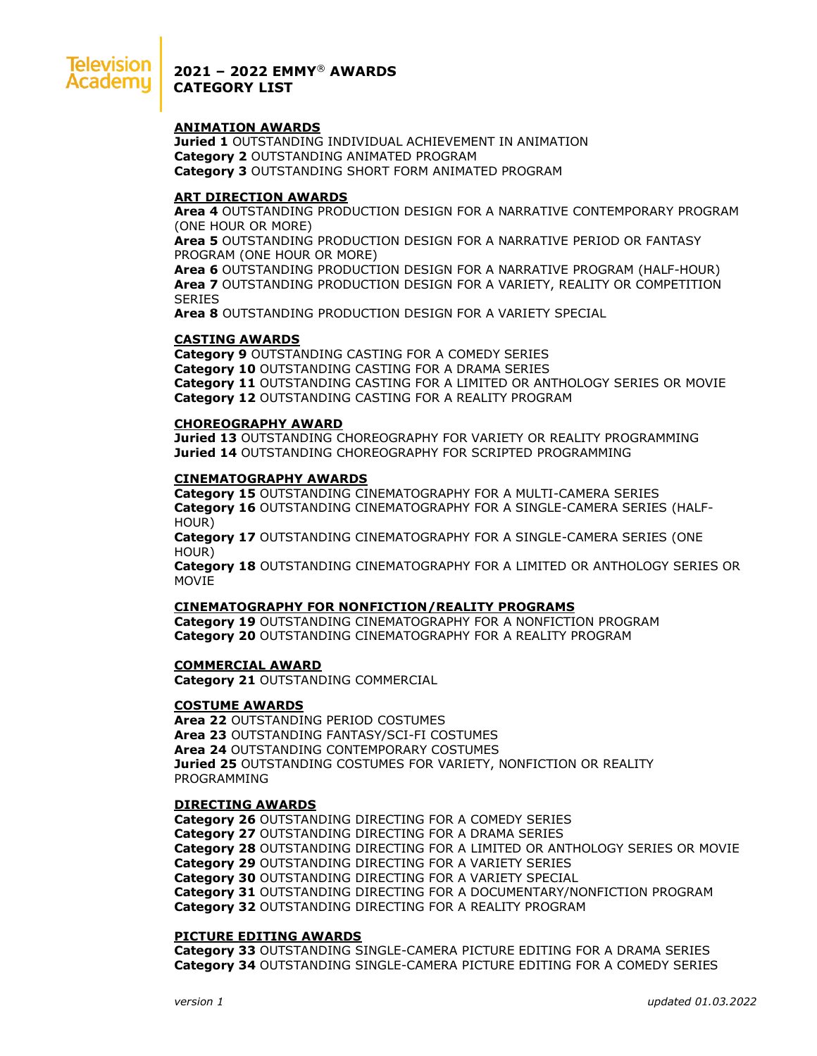

**2021 – 2022 EMMY**® **AWARDS CATEGORY LIST**

## **ANIMATION AWARDS**

**Juried 1** OUTSTANDING INDIVIDUAL ACHIEVEMENT IN ANIMATION **Category 2** OUTSTANDING ANIMATED PROGRAM **Category 3** OUTSTANDING SHORT FORM ANIMATED PROGRAM

## **ART DIRECTION AWARDS**

**Area 4** OUTSTANDING PRODUCTION DESIGN FOR A NARRATIVE CONTEMPORARY PROGRAM (ONE HOUR OR MORE)

**Area 5** OUTSTANDING PRODUCTION DESIGN FOR A NARRATIVE PERIOD OR FANTASY PROGRAM (ONE HOUR OR MORE)

**Area 6** OUTSTANDING PRODUCTION DESIGN FOR A NARRATIVE PROGRAM (HALF-HOUR) **Area 7** OUTSTANDING PRODUCTION DESIGN FOR A VARIETY, REALITY OR COMPETITION **SERIES** 

**Area 8** OUTSTANDING PRODUCTION DESIGN FOR A VARIETY SPECIAL

## **CASTING AWARDS**

**Category 9** OUTSTANDING CASTING FOR A COMEDY SERIES **Category 10** OUTSTANDING CASTING FOR A DRAMA SERIES **Category 11** OUTSTANDING CASTING FOR A LIMITED OR ANTHOLOGY SERIES OR MOVIE **Category 12** OUTSTANDING CASTING FOR A REALITY PROGRAM

## **CHOREOGRAPHY AWARD**

**Juried 13** OUTSTANDING CHOREOGRAPHY FOR VARIETY OR REALITY PROGRAMMING **Juried 14** OUTSTANDING CHOREOGRAPHY FOR SCRIPTED PROGRAMMING

## **CINEMATOGRAPHY AWARDS**

**Category 15** OUTSTANDING CINEMATOGRAPHY FOR A MULTI-CAMERA SERIES **Category 16** OUTSTANDING CINEMATOGRAPHY FOR A SINGLE-CAMERA SERIES (HALF-HOUR)

**Category 17** OUTSTANDING CINEMATOGRAPHY FOR A SINGLE-CAMERA SERIES (ONE HOUR)

**Category 18** OUTSTANDING CINEMATOGRAPHY FOR A LIMITED OR ANTHOLOGY SERIES OR MOVIE

## **CINEMATOGRAPHY FOR NONFICTION/REALITY PROGRAMS**

**Category 19** OUTSTANDING CINEMATOGRAPHY FOR A NONFICTION PROGRAM **Category 20** OUTSTANDING CINEMATOGRAPHY FOR A REALITY PROGRAM

## **COMMERCIAL AWARD**

**Category 21** OUTSTANDING COMMERCIAL

## **COSTUME AWARDS**

**Area 22** OUTSTANDING PERIOD COSTUMES **Area 23** OUTSTANDING FANTASY/SCI-FI COSTUMES **Area 24** OUTSTANDING CONTEMPORARY COSTUMES **Juried 25** OUTSTANDING COSTUMES FOR VARIETY, NONFICTION OR REALITY PROGRAMMING

## **DIRECTING AWARDS**

**Category 26** OUTSTANDING DIRECTING FOR A COMEDY SERIES **Category 27** OUTSTANDING DIRECTING FOR A DRAMA SERIES **Category 28** OUTSTANDING DIRECTING FOR A LIMITED OR ANTHOLOGY SERIES OR MOVIE **Category 29** OUTSTANDING DIRECTING FOR A VARIETY SERIES **Category 30** OUTSTANDING DIRECTING FOR A VARIETY SPECIAL **Category 31** OUTSTANDING DIRECTING FOR A DOCUMENTARY/NONFICTION PROGRAM **Category 32** OUTSTANDING DIRECTING FOR A REALITY PROGRAM

## **PICTURE EDITING AWARDS**

**Category 33** OUTSTANDING SINGLE-CAMERA PICTURE EDITING FOR A DRAMA SERIES **Category 34** OUTSTANDING SINGLE-CAMERA PICTURE EDITING FOR A COMEDY SERIES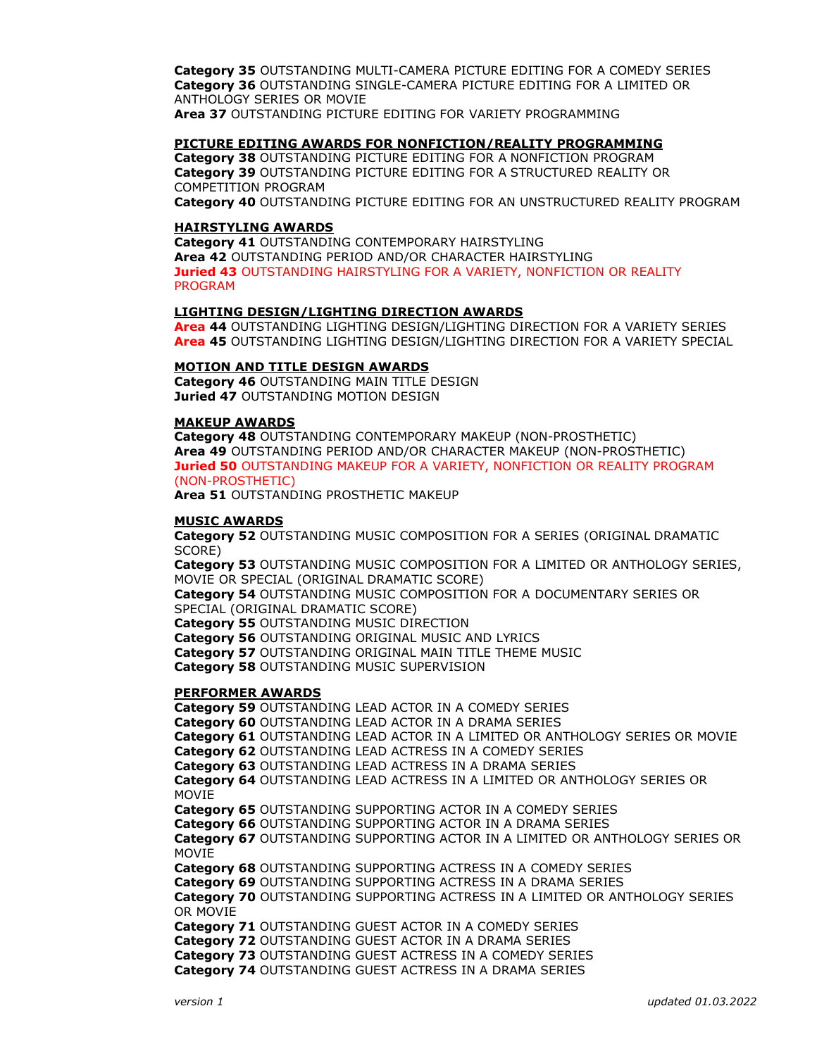**Category 35** OUTSTANDING MULTI-CAMERA PICTURE EDITING FOR A COMEDY SERIES **Category 36** OUTSTANDING SINGLE-CAMERA PICTURE EDITING FOR A LIMITED OR ANTHOLOGY SERIES OR MOVIE **Area 37** OUTSTANDING PICTURE EDITING FOR VARIETY PROGRAMMING

## **PICTURE EDITING AWARDS FOR NONFICTION/REALITY PROGRAMMING**

**Category 38** OUTSTANDING PICTURE EDITING FOR A NONFICTION PROGRAM **Category 39** OUTSTANDING PICTURE EDITING FOR A STRUCTURED REALITY OR COMPETITION PROGRAM

**Category 40** OUTSTANDING PICTURE EDITING FOR AN UNSTRUCTURED REALITY PROGRAM

## **HAIRSTYLING AWARDS**

**Category 41** OUTSTANDING CONTEMPORARY HAIRSTYLING **Area 42** OUTSTANDING PERIOD AND/OR CHARACTER HAIRSTYLING **Juried 43** OUTSTANDING HAIRSTYLING FOR A VARIETY, NONFICTION OR REALITY PROGRAM

## **LIGHTING DESIGN/LIGHTING DIRECTION AWARDS**

**Area 44** OUTSTANDING LIGHTING DESIGN/LIGHTING DIRECTION FOR A VARIETY SERIES **Area 45** OUTSTANDING LIGHTING DESIGN/LIGHTING DIRECTION FOR A VARIETY SPECIAL

## **MOTION AND TITLE DESIGN AWARDS**

**Category 46** OUTSTANDING MAIN TITLE DESIGN **Juried 47** OUTSTANDING MOTION DESIGN

## **MAKEUP AWARDS**

**Category 48** OUTSTANDING CONTEMPORARY MAKEUP (NON-PROSTHETIC) **Area 49** OUTSTANDING PERIOD AND/OR CHARACTER MAKEUP (NON-PROSTHETIC) **Juried 50** OUTSTANDING MAKEUP FOR A VARIETY, NONFICTION OR REALITY PROGRAM (NON-PROSTHETIC)

**Area 51** OUTSTANDING PROSTHETIC MAKEUP

## **MUSIC AWARDS**

**Category 52** OUTSTANDING MUSIC COMPOSITION FOR A SERIES (ORIGINAL DRAMATIC SCORE)

**Category 53** OUTSTANDING MUSIC COMPOSITION FOR A LIMITED OR ANTHOLOGY SERIES, MOVIE OR SPECIAL (ORIGINAL DRAMATIC SCORE)

**Category 54** OUTSTANDING MUSIC COMPOSITION FOR A DOCUMENTARY SERIES OR SPECIAL (ORIGINAL DRAMATIC SCORE)

**Category 55** OUTSTANDING MUSIC DIRECTION

**Category 56** OUTSTANDING ORIGINAL MUSIC AND LYRICS

**Category 57** OUTSTANDING ORIGINAL MAIN TITLE THEME MUSIC

**Category 58** OUTSTANDING MUSIC SUPERVISION

# **PERFORMER AWARDS**

**Category 59** OUTSTANDING LEAD ACTOR IN A COMEDY SERIES **Category 60** OUTSTANDING LEAD ACTOR IN A DRAMA SERIES **Category 61** OUTSTANDING LEAD ACTOR IN A LIMITED OR ANTHOLOGY SERIES OR MOVIE **Category 62** OUTSTANDING LEAD ACTRESS IN A COMEDY SERIES **Category 63** OUTSTANDING LEAD ACTRESS IN A DRAMA SERIES **Category 64** OUTSTANDING LEAD ACTRESS IN A LIMITED OR ANTHOLOGY SERIES OR MOVIE **Category 65** OUTSTANDING SUPPORTING ACTOR IN A COMEDY SERIES **Category 66** OUTSTANDING SUPPORTING ACTOR IN A DRAMA SERIES **Category 67** OUTSTANDING SUPPORTING ACTOR IN A LIMITED OR ANTHOLOGY SERIES OR MOVIE **Category 68** OUTSTANDING SUPPORTING ACTRESS IN A COMEDY SERIES **Category 69** OUTSTANDING SUPPORTING ACTRESS IN A DRAMA SERIES **Category 70** OUTSTANDING SUPPORTING ACTRESS IN A LIMITED OR ANTHOLOGY SERIES OR MOVIE **Category 71** OUTSTANDING GUEST ACTOR IN A COMEDY SERIES **Category 72** OUTSTANDING GUEST ACTOR IN A DRAMA SERIES **Category 73** OUTSTANDING GUEST ACTRESS IN A COMEDY SERIES **Category 74** OUTSTANDING GUEST ACTRESS IN A DRAMA SERIES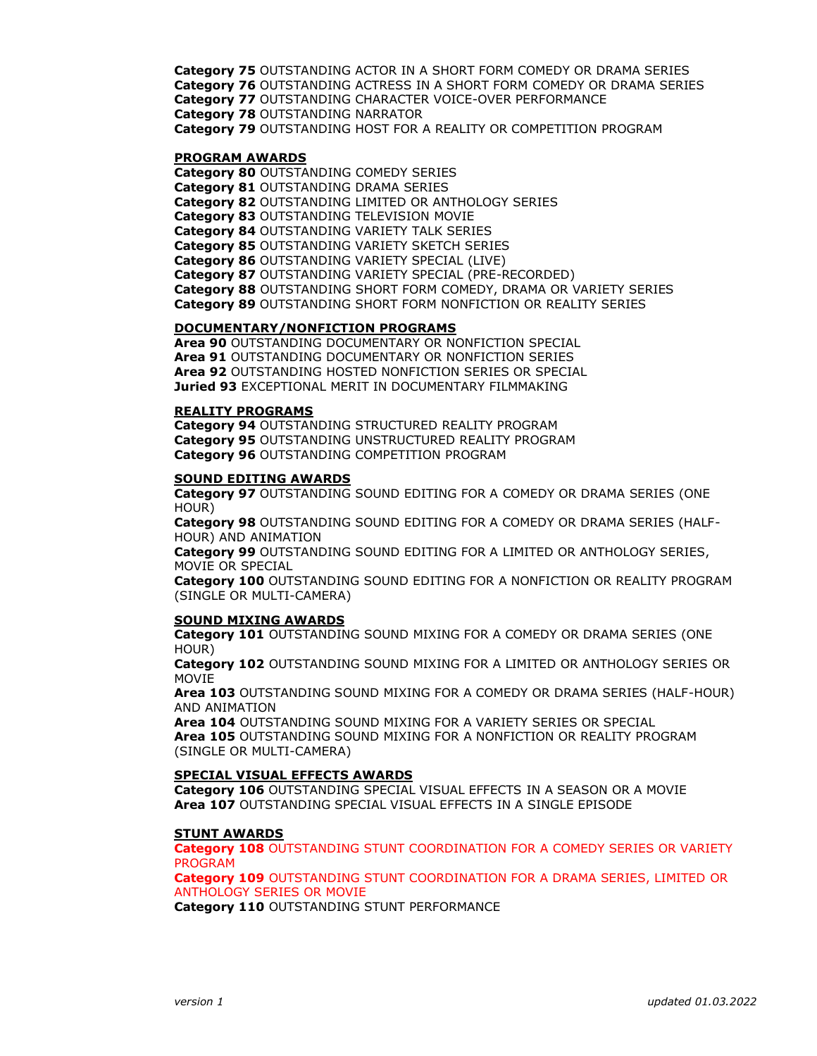**Category 75** OUTSTANDING ACTOR IN A SHORT FORM COMEDY OR DRAMA SERIES **Category 76** OUTSTANDING ACTRESS IN A SHORT FORM COMEDY OR DRAMA SERIES **Category 77** OUTSTANDING CHARACTER VOICE-OVER PERFORMANCE **Category 78** OUTSTANDING NARRATOR **Category 79** OUTSTANDING HOST FOR A REALITY OR COMPETITION PROGRAM

#### **PROGRAM AWARDS**

**Category 80** OUTSTANDING COMEDY SERIES **Category 81** OUTSTANDING DRAMA SERIES **Category 82** OUTSTANDING LIMITED OR ANTHOLOGY SERIES **Category 83** OUTSTANDING TELEVISION MOVIE **Category 84** OUTSTANDING VARIETY TALK SERIES **Category 85** OUTSTANDING VARIETY SKETCH SERIES **Category 86** OUTSTANDING VARIETY SPECIAL (LIVE) **Category 87** OUTSTANDING VARIETY SPECIAL (PRE-RECORDED) **Category 88** OUTSTANDING SHORT FORM COMEDY, DRAMA OR VARIETY SERIES **Category 89** OUTSTANDING SHORT FORM NONFICTION OR REALITY SERIES

## **DOCUMENTARY/NONFICTION PROGRAMS**

**Area 90** OUTSTANDING DOCUMENTARY OR NONFICTION SPECIAL **Area 91** OUTSTANDING DOCUMENTARY OR NONFICTION SERIES **Area 92** OUTSTANDING HOSTED NONFICTION SERIES OR SPECIAL **Juried 93** EXCEPTIONAL MERIT IN DOCUMENTARY FILMMAKING

#### **REALITY PROGRAMS**

**Category 94** OUTSTANDING STRUCTURED REALITY PROGRAM **Category 95** OUTSTANDING UNSTRUCTURED REALITY PROGRAM **Category 96** OUTSTANDING COMPETITION PROGRAM

#### **SOUND EDITING AWARDS**

**Category 97** OUTSTANDING SOUND EDITING FOR A COMEDY OR DRAMA SERIES (ONE HOUR)

**Category 98** OUTSTANDING SOUND EDITING FOR A COMEDY OR DRAMA SERIES (HALF-HOUR) AND ANIMATION

**Category 99** OUTSTANDING SOUND EDITING FOR A LIMITED OR ANTHOLOGY SERIES, MOVIE OR SPECIAL

**Category 100** OUTSTANDING SOUND EDITING FOR A NONFICTION OR REALITY PROGRAM (SINGLE OR MULTI-CAMERA)

## **SOUND MIXING AWARDS**

**Category 101** OUTSTANDING SOUND MIXING FOR A COMEDY OR DRAMA SERIES (ONE HOUR)

**Category 102** OUTSTANDING SOUND MIXING FOR A LIMITED OR ANTHOLOGY SERIES OR MOVIE

**Area 103** OUTSTANDING SOUND MIXING FOR A COMEDY OR DRAMA SERIES (HALF-HOUR) AND ANIMATION

**Area 104** OUTSTANDING SOUND MIXING FOR A VARIETY SERIES OR SPECIAL **Area 105** OUTSTANDING SOUND MIXING FOR A NONFICTION OR REALITY PROGRAM (SINGLE OR MULTI-CAMERA)

#### **SPECIAL VISUAL EFFECTS AWARDS**

**Category 106** OUTSTANDING SPECIAL VISUAL EFFECTS IN A SEASON OR A MOVIE **Area 107** OUTSTANDING SPECIAL VISUAL EFFECTS IN A SINGLE EPISODE

## **STUNT AWARDS**

**Category 108** OUTSTANDING STUNT COORDINATION FOR A COMEDY SERIES OR VARIETY PROGRAM

**Category 109** OUTSTANDING STUNT COORDINATION FOR A DRAMA SERIES, LIMITED OR ANTHOLOGY SERIES OR MOVIE

**Category 110** OUTSTANDING STUNT PERFORMANCE